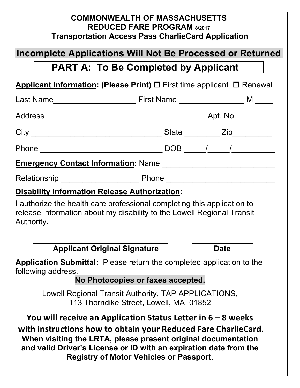| <b>COMMONWEALTH OF MASSACHUSETTS</b><br><b>REDUCED FARE PROGRAM 8/2017</b><br><b>Transportation Access Pass CharlieCard Application</b>                                                                                                                                                                                  |  |  |             |  |  |  |  |
|--------------------------------------------------------------------------------------------------------------------------------------------------------------------------------------------------------------------------------------------------------------------------------------------------------------------------|--|--|-------------|--|--|--|--|
| Incomplete Applications Will Not Be Processed or Returned                                                                                                                                                                                                                                                                |  |  |             |  |  |  |  |
| <b>PART A: To Be Completed by Applicant</b>                                                                                                                                                                                                                                                                              |  |  |             |  |  |  |  |
| <b>Applicant Information: (Please Print)</b> $\Box$ First time applicant $\Box$ Renewal                                                                                                                                                                                                                                  |  |  |             |  |  |  |  |
|                                                                                                                                                                                                                                                                                                                          |  |  |             |  |  |  |  |
|                                                                                                                                                                                                                                                                                                                          |  |  |             |  |  |  |  |
|                                                                                                                                                                                                                                                                                                                          |  |  |             |  |  |  |  |
|                                                                                                                                                                                                                                                                                                                          |  |  |             |  |  |  |  |
|                                                                                                                                                                                                                                                                                                                          |  |  |             |  |  |  |  |
|                                                                                                                                                                                                                                                                                                                          |  |  |             |  |  |  |  |
| <b>Disability Information Release Authorization:</b>                                                                                                                                                                                                                                                                     |  |  |             |  |  |  |  |
| I authorize the health care professional completing this application to<br>release information about my disability to the Lowell Regional Transit<br>Authority.                                                                                                                                                          |  |  |             |  |  |  |  |
| <b>Applicant Original Signature</b>                                                                                                                                                                                                                                                                                      |  |  | <b>Date</b> |  |  |  |  |
| <b>Application Submittal:</b> Please return the completed application to the<br>following address.                                                                                                                                                                                                                       |  |  |             |  |  |  |  |
| No Photocopies or faxes accepted.                                                                                                                                                                                                                                                                                        |  |  |             |  |  |  |  |
| Lowell Regional Transit Authority, TAP APPLICATIONS,<br>113 Thorndike Street, Lowell, MA 01852                                                                                                                                                                                                                           |  |  |             |  |  |  |  |
| You will receive an Application Status Letter in $6 - 8$ weeks<br>with instructions how to obtain your Reduced Fare CharlieCard.<br>When visiting the LRTA, please present original documentation<br>and valid Driver's License or ID with an expiration date from the<br><b>Registry of Motor Vehicles or Passport.</b> |  |  |             |  |  |  |  |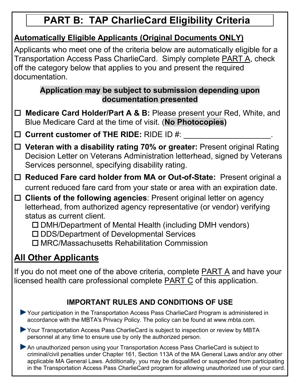# **PART B: TAP CharlieCard Eligibility Criteria**

### **Automatically Eligible Applicants (Original Documents ONLY)**

Applicants who meet one of the criteria below are automatically eligible for a Transportation Access Pass CharlieCard. Simply complete PART A, check off the category below that applies to you and present the required documentation.

### **Application may be subject to submission depending upon documentation presented**

□ **Medicare Card Holder/Part A & B:** Please present your Red, White, and Blue Medicare Card at the time of visit. (**No Photocopies)**

□ Current customer of THE RIDE: RIDE ID #:

- □ Veteran with a disability rating 70% or greater: Present original Rating Decision Letter on Veterans Administration letterhead, signed by Veterans Services personnel, specifying disability rating.
- □ **Reduced Fare card holder from MA or Out-of-State:** Present original a current reduced fare card from your state or area with an expiration date.

□ Clients of the following agencies: Present original letter on agency letterhead, from authorized agency representative (or vendor) verifying status as current client.

 $\square$  DMH/Department of Mental Health (including DMH vendors)

□ DDS/Department of Developmental Services

¨ MRC/Massachusetts Rehabilitation Commission

# **All Other Applicants**

If you do not meet one of the above criteria, complete PART A and have your licensed health care professional complete PART C of this application.

## **IMPORTANT RULES AND CONDITIONS OF USE**

- ▶ Your participation in the Transportation Access Pass CharlieCard Program is administered in accordance with the MBTA's Privacy Policy. The policy can be found at www.mbta.com.
- ▶ Your Transportation Access Pass CharlieCard is subject to inspection or review by MBTA personnel at any time to ensure use by only the authorized person.

An unauthorized person using your Transportation Access Pass CharlieCard is subject to criminal/civil penalties under Chapter 161, Section 113A of the MA General Laws and/or any other applicable MA General Laws. Additionally, you may be disqualified or suspended from participating in the Transportation Access Pass CharlieCard program for allowing unauthorized use of your card.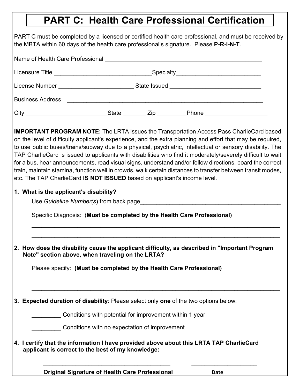## **PART C: Health Care Professional Certification**

PART C must be completed by a licensed or certified health care professional, and must be received by the MBTA within 60 days of the health care professional's signature. Please **P-R-I-N-T**.

| Name of Health Care Professional Name of Health Care Professional |              |      |       |  |  |  |  |  |
|-------------------------------------------------------------------|--------------|------|-------|--|--|--|--|--|
|                                                                   |              |      |       |  |  |  |  |  |
| License Number                                                    |              |      |       |  |  |  |  |  |
| <b>Business Address</b>                                           |              |      |       |  |  |  |  |  |
| City                                                              | <b>State</b> | Zip. | Phone |  |  |  |  |  |

**IMPORTANT PROGRAM NOTE:** The LRTA issues the Transportation Access Pass CharlieCard based on the level of difficulty applicant's experience, and the extra planning and effort that may be required, to use public buses/trains/subway due to a physical, psychiatric, intellectual or sensory disability. The TAP CharlieCard is issued to applicants with disabilities who find it moderately/severely difficult to wait for a bus, hear announcements, read visual signs, understand and/or follow directions, board the correct train, maintain stamina, function well in crowds, walk certain distances to transfer between transit modes, etc. The TAP CharlieCard **IS NOT ISSUED** based on applicant's income level.

#### **1. What is the applicant's disability?**

Use *Guideline Number(s)* from back page

Specific Diagnosis: (**Must be completed by the Health Care Professional)**

**2. How does the disability cause the applicant difficulty, as described in "Important Program Note" section above, when traveling on the LRTA?** 

 $\mathcal{L}_\text{max} = \mathcal{L}_\text{max} = \mathcal{L}_\text{max} = \mathcal{L}_\text{max} = \mathcal{L}_\text{max} = \mathcal{L}_\text{max} = \mathcal{L}_\text{max} = \mathcal{L}_\text{max} = \mathcal{L}_\text{max} = \mathcal{L}_\text{max} = \mathcal{L}_\text{max} = \mathcal{L}_\text{max} = \mathcal{L}_\text{max} = \mathcal{L}_\text{max} = \mathcal{L}_\text{max} = \mathcal{L}_\text{max} = \mathcal{L}_\text{max} = \mathcal{L}_\text{max} = \mathcal{$ \_\_\_\_\_\_\_\_\_\_\_\_\_\_\_\_\_\_\_\_\_\_\_\_\_\_\_\_\_\_\_\_\_\_\_\_\_\_\_\_\_\_\_\_\_\_\_\_\_\_\_\_\_\_\_\_\_\_\_\_\_\_\_\_\_\_\_\_\_\_\_\_\_\_\_\_

 $\mathcal{L}_\text{max} = \mathcal{L}_\text{max} = \mathcal{L}_\text{max} = \mathcal{L}_\text{max} = \mathcal{L}_\text{max} = \mathcal{L}_\text{max} = \mathcal{L}_\text{max} = \mathcal{L}_\text{max} = \mathcal{L}_\text{max} = \mathcal{L}_\text{max} = \mathcal{L}_\text{max} = \mathcal{L}_\text{max} = \mathcal{L}_\text{max} = \mathcal{L}_\text{max} = \mathcal{L}_\text{max} = \mathcal{L}_\text{max} = \mathcal{L}_\text{max} = \mathcal{L}_\text{max} = \mathcal{$ \_\_\_\_\_\_\_\_\_\_\_\_\_\_\_\_\_\_\_\_\_\_\_\_\_\_\_\_\_\_\_\_\_\_\_\_\_\_\_\_\_\_\_\_\_\_\_\_\_\_\_\_\_\_\_\_\_\_\_\_\_\_\_\_\_\_\_\_\_\_\_\_\_\_\_\_

Please specify: **(Must be completed by the Health Care Professional)**

**3. Expected duration of disability**: Please select only **one** of the two options below:

\_\_\_\_\_\_\_\_\_ Conditions with potential for improvement within 1 year

\_\_\_\_\_\_\_\_\_ Conditions with no expectation of improvement

#### **4. I certify that the information I have provided above about this LRTA TAP CharlieCard applicant is correct to the best of my knowledge:**

 $\mathcal{L}_\text{max}$  , and the contribution of the contribution of the contribution of the contribution of the contribution of the contribution of the contribution of the contribution of the contribution of the contribution of t

 **Original Signature of Health Care Professional <b>Date**